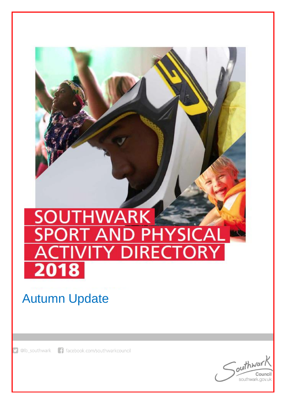## **SOUTHWARK** ┫ YSI ΄ ΑΙ **Y DIRECTORY** 2018

# Autumn Update

f facebook.com/southwarkcouncil @lb\_southwark

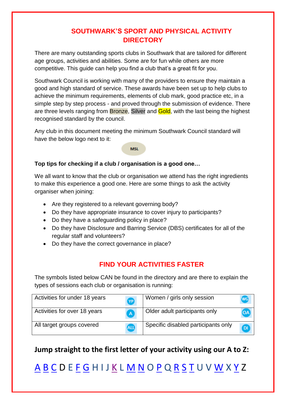#### **SOUTHWARK'S SPORT AND PHYSICAL ACTIVITY DIRECTORY**

There are many outstanding sports clubs in Southwark that are tailored for different age groups, activities and abilities. Some are for fun while others are more competitive. This guide can help you find a club that's a great fit for you.

Southwark Council is working with many of the providers to ensure they maintain a good and high standard of service. These awards have been set up to help clubs to achieve the minimum requirements, elements of club mark, good practice etc, in a simple step by step process - and proved through the submission of evidence. There are three levels ranging from **Bronze**, Silver and **Gold**, with the last being the highest recognised standard by the council.

Any club in this document meeting the minimum Southwark Council standard will have the below logo next to it:

#### **MSL**

#### **Top tips for checking if a club / organisation is a good one…**

We all want to know that the club or organisation we attend has the right ingredients to make this experience a good one. Here are some things to ask the activity organiser when joining:

- Are they registered to a relevant governing body?
- Do they have appropriate insurance to cover injury to participants?
- Do they have a safeguarding policy in place?
- Do they have Disclosure and Barring Service (DBS) certificates for all of the regular staff and volunteers?
- Do they have the correct governance in place?

#### <span id="page-1-0"></span>**FIND YOUR ACTIVITIES FASTER**

The symbols listed below CAN be found in the directory and are there to explain the types of sessions each club or organisation is running:

| Activities for under 18 years | <b>YP</b>      | Women / girls only session          | WG)      |
|-------------------------------|----------------|-------------------------------------|----------|
| Activities for over 18 years  | $\overline{A}$ | Older adult participants only       | (OA      |
| All target groups covered     | <b>ALL</b>     | Specific disabled participants only | $\Omega$ |

#### **Jump straight to the first letter of your activity using our A to Z:**

[A](#page-1-0) [B](#page-2-0) [C](#page-3-0) D E [F](#page-4-0) [G](#page-6-0) H I J [K](#page-7-0) L [M](#page-7-1) [N](#page-9-0) O [P](#page-9-1) Q [R](#page-10-0) [S](#page-10-1) [T](#page-11-0) U V [W](#page-12-0) X [Y](#page-13-0) Z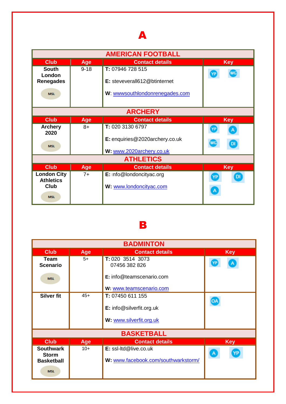## A

| <b>AMERICAN FOOTBALL</b>   |            |                                |                       |
|----------------------------|------------|--------------------------------|-----------------------|
| <b>Club</b>                | <b>Age</b> | <b>Contact details</b>         | <b>Key</b>            |
| <b>South</b>               | $9 - 18$   | T: 07946 728 515               | <b>WG</b><br>YP       |
| London<br><b>Renegades</b> |            | E: steveverall612@btinternet   |                       |
| <b>MSL</b>                 |            | W: wwwsouthlondonrenegades.com |                       |
|                            |            |                                |                       |
|                            |            | <b>ARCHERY</b>                 |                       |
| <b>Club</b>                | <b>Age</b> | <b>Contact details</b>         | <b>Key</b>            |
| <b>Archery</b><br>2020     | $8+$       | T: 020 3130 6797               | YP<br>A               |
| <b>MSL</b>                 |            | E: enquiries@2020archery.co.uk | <b>WG</b><br>DI       |
|                            |            | W: www.2020archery.co.uk       |                       |
|                            |            | <b>ATHLETICS</b>               |                       |
| <b>Club</b>                | <b>Age</b> | <b>Contact details</b>         | <b>Key</b>            |
| <b>London City</b>         | $7+$       | E: Info@londoncityac.org       | DI<br>$[\mathsf{YP}]$ |
| <b>Athletics</b><br>Club   |            | W: www.londoncityac.com        |                       |
| <b>MSL</b>                 |            |                                | А                     |

### B

<span id="page-2-0"></span>

| <b>BADMINTON</b>                 |            |                                     |                      |
|----------------------------------|------------|-------------------------------------|----------------------|
| <b>Club</b>                      | <b>Age</b> | <b>Contact details</b>              | <b>Key</b>           |
| Team<br><b>Scenario</b>          | $5+$       | T: 020 3514 3073<br>07456 382 826   | YP<br>A              |
| <b>MSL</b>                       |            | E: info@teamscenario.com            |                      |
|                                  |            | W: www.teamscenario.com             |                      |
| <b>Silver fit</b>                | $45+$      | T: 07450 611 155                    | OA                   |
|                                  |            | E: info@silverfit.org.uk            |                      |
|                                  |            | W: www.silverfit.org.uk             |                      |
|                                  |            | <b>BASKETBALL</b>                   |                      |
| <b>Club</b>                      | Age        | <b>Contact details</b>              | <b>Key</b>           |
| <b>Southwark</b><br><b>Storm</b> | $10+$      | E: ssl-ltd@live.co.uk               | YP<br>$\overline{A}$ |
| <b>Basketball</b>                |            | W: www.facebook.com/southwarkstorm/ |                      |
| <b>MSL</b>                       |            |                                     |                      |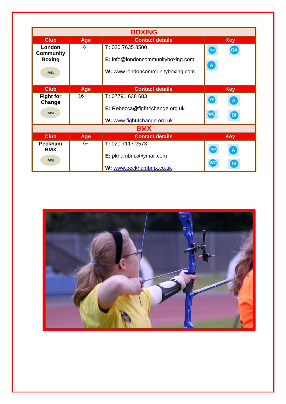|                                                           |            | <b>BOXING</b>                                                                             |                                        |
|-----------------------------------------------------------|------------|-------------------------------------------------------------------------------------------|----------------------------------------|
| <b>Club</b>                                               | <b>Age</b> | <b>Contact details</b>                                                                    | <b>Key</b>                             |
| London<br><b>Community</b><br><b>Boxing</b><br><b>MSL</b> | $8+$       | T: 020 7635 8500<br>E: info@londoncommunityboxing.com<br>W: www.londoncommunityboxing.com | <b>YP</b><br><b>OA</b><br>$\mathbf{A}$ |
| <b>Club</b>                                               | <b>Age</b> | <b>Contact details</b>                                                                    | <b>Key</b>                             |
| <b>Fight for</b><br>Change                                | $16+$      | T: 07791 638 683                                                                          | YP)<br>A                               |
| <b>MSL</b>                                                |            | E: Rebecca@fight4change.org.uk                                                            | <b>WG</b><br>DI                        |
|                                                           |            | W: www.fight4change.org.uk                                                                |                                        |
|                                                           |            | <b>BMX</b>                                                                                |                                        |
| <b>Club</b>                                               | <b>Age</b> | <b>Contact details</b>                                                                    | <b>Key</b>                             |
| Peckham<br><b>BMX</b>                                     | $6+$       | T: 020 7117 2573<br>E: pkhambmx@ymail.com                                                 | А                                      |
| <b>MSL</b>                                                |            | W: www.peckhambmx.co.uk                                                                   | WG<br>DI                               |

<span id="page-3-0"></span>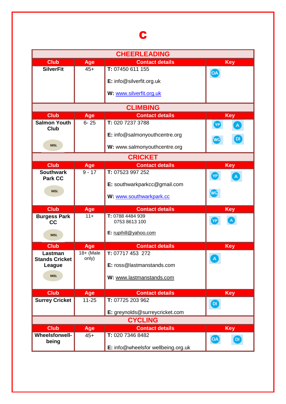# C

<span id="page-4-0"></span>

|                                      |                  | <b>CHEERLEADING</b>                        |                                |
|--------------------------------------|------------------|--------------------------------------------|--------------------------------|
| <b>Club</b>                          | Age              | <b>Contact details</b>                     | <b>Key</b>                     |
| <b>SilverFit</b>                     | $45+$            | T: 07450 611 155                           | OA                             |
|                                      |                  | E: info@silverfit.org.uk                   |                                |
|                                      |                  |                                            |                                |
|                                      |                  | W: www.silverfit.org.uk                    |                                |
|                                      |                  | <b>CLIMBING</b>                            |                                |
| <b>Club</b>                          | Age              | <b>Contact details</b>                     | <b>Key</b>                     |
| <b>Salmon Youth</b>                  | $6 - 25$         | T: 020 7237 3788                           | YP                             |
| Club                                 |                  | E: info@salmonyouthcentre.org              |                                |
|                                      |                  |                                            | <b>WG</b>                      |
| <b>MSL</b>                           |                  | W: www.salmonyouthcentre.org               |                                |
|                                      |                  | <b>CRICKET</b>                             |                                |
| <b>Club</b>                          | <b>Age</b>       | <b>Contact details</b>                     | <b>Key</b>                     |
| <b>Southwark</b>                     | $9 - 17$         | T: 07523 997 252                           | <b>YP</b>                      |
| <b>Park CC</b>                       |                  | E: southwarkparkcc@gmail.com               |                                |
| <b>MSL</b>                           |                  |                                            | <b>WG</b>                      |
|                                      |                  | W: www.southwarkpark.cc                    |                                |
| <b>Club</b>                          | Age              | <b>Contact details</b>                     | <b>Key</b>                     |
| <b>Burgess Park</b>                  | $11 +$           | T: 0788 4484 939<br>0753 8613 100          | YP                             |
| cc                                   |                  |                                            |                                |
|                                      |                  |                                            |                                |
| <b>MSL</b>                           |                  | E: rupihill@yahoo.com                      |                                |
| <b>Club</b>                          |                  | <b>Contact details</b>                     |                                |
| Lastman                              | Age<br>18+ (Male | T: 07717 453 272                           | <b>Key</b>                     |
| <b>Stands Cricket</b>                | only)            |                                            |                                |
| League                               |                  | E: ross@lastmanstands.com                  |                                |
| <b>MSL</b>                           |                  | W: www.lastmanstands.com                   |                                |
|                                      |                  |                                            |                                |
| <b>Club</b>                          | Age              | <b>Contact details</b>                     | <b>Key</b>                     |
| <b>Surrey Cricket</b>                | $11 - 25$        | T: 07725 203 962                           |                                |
|                                      |                  |                                            | $\boldsymbol{\mathsf{\Omega}}$ |
|                                      |                  | E: greynolds@surreycricket.com             |                                |
|                                      |                  | <b>CYCLING</b>                             |                                |
| <b>Club</b><br><b>Wheelsforwell-</b> | Age<br>$45+$     | <b>Contact details</b><br>T: 020 7346 8482 | <b>Key</b>                     |
| being                                |                  | E: info@wheelsfor wellbeing.org.uk         | OA<br>DI                       |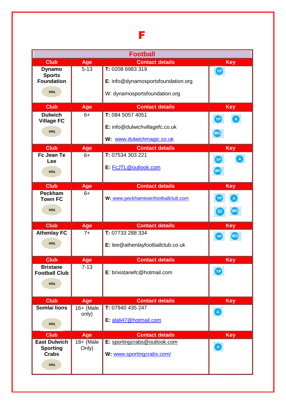|                                                                      |                      | <b>Football</b>                                                                         |                 |
|----------------------------------------------------------------------|----------------------|-----------------------------------------------------------------------------------------|-----------------|
| <b>Club</b>                                                          | Age                  | <b>Contact details</b>                                                                  | <b>Key</b>      |
| <b>Dynamo</b><br><b>Sports</b><br><b>Foundation</b><br><b>MSL</b>    | $5 - 13$             | T: 0208 6983 319<br>E: info@dynamosportsfoundation.org<br>W: dynamosportsfoundation.org | YP              |
| <b>Club</b>                                                          | Age                  | <b>Contact details</b>                                                                  | <b>Key</b>      |
| <b>Dulwich</b><br><b>Village FC</b><br><b>MSL</b>                    | $6+$                 | T: 084 5057 4051<br>E: info@dulwichvillagefc.co.uk<br>W: www.dulwichmagic.co.uk         | YP<br><b>WG</b> |
| <b>Club</b>                                                          | Age                  | <b>Contact details</b>                                                                  | <b>Key</b>      |
| Fc Jean Te<br>Lee<br><b>MSL</b>                                      | $6+$                 | T: 07534 303 221<br>E: FcJTL@outlook.com                                                | YP<br><b>WG</b> |
| <b>Club</b>                                                          | Age                  | <b>Contact details</b>                                                                  | <b>Key</b>      |
| <b>Peckham</b><br><b>Town FC</b><br><b>MSL</b>                       | $6+$                 | W: www.peckhamtownfootballclub.com                                                      | <b>DI</b>       |
| <b>Club</b>                                                          | Age                  | <b>Contact details</b>                                                                  | <b>Key</b>      |
| <b>Athenlay FC</b><br><b>MSL</b>                                     | $7+$                 | T: 07733 288 334<br>E: lee@athenlayfootballclub.co.uk                                   | <b>WG</b><br>YP |
| <b>Club</b>                                                          | Age                  | <b>Contact details</b>                                                                  | Key             |
| <b>Brixtane</b><br><b>Football Club</b><br><b>MSL</b>                | $7 - 13$             | E: brixistanefc@hotmail.com                                                             | YP              |
| <b>Club</b>                                                          | Age                  | <b>Contact details</b>                                                                  | <b>Key</b>      |
| Somlai lions<br><b>MSL</b>                                           | $16+$ (Male<br>only) | T: 07940 435 247<br>E: alali47@hotmail.com                                              |                 |
| <b>Club</b>                                                          | Age                  | <b>Contact details</b>                                                                  | Key             |
| <b>East Dulwich</b><br><b>Sporting</b><br><b>Crabs</b><br><b>MSL</b> | 18+ (Male<br>Only)   | E: sportingcrabs@outlook.com<br>W: www.sportingcrabs.com/                               |                 |

F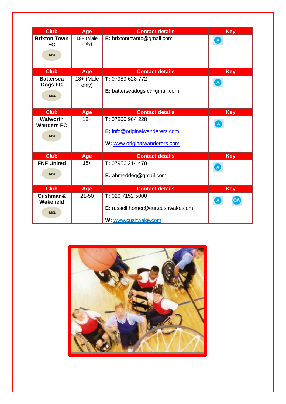| <b>Club</b>                                        | Age                | <b>Contact details</b>                                                            | <b>Key</b> |
|----------------------------------------------------|--------------------|-----------------------------------------------------------------------------------|------------|
| <b>Brixton Town</b><br><b>FC</b><br><b>MSL</b>     | 18+ (Male<br>only) | E: brixtontownfc@gmail.com                                                        |            |
| <b>Club</b>                                        | Age                | <b>Contact details</b>                                                            | <b>Key</b> |
| <b>Battersea</b><br>Dogs FC<br><b>MSL</b>          | 18+ (Male<br>only) | T: 07989 628 772<br>E: batterseadogsfc@gmail.com                                  |            |
| <b>Club</b>                                        | Age                | <b>Contact details</b>                                                            | <b>Key</b> |
| <b>Walworth</b><br><b>Wanders FC</b><br><b>MSL</b> | $18 +$             | T: 07800 964 228<br>E: info@originalwanderers.com<br>W: www.originalwanderers.com |            |
| <b>Club</b>                                        | Age                | <b>Contact details</b>                                                            | <b>Key</b> |
| <b>FNF United</b><br><b>MSL</b>                    | $18 +$             | T: 07956 214 478<br>E: ahmeddeq@gmail.com                                         |            |
| <b>Club</b>                                        | Age                | <b>Contact details</b>                                                            | <b>Key</b> |
| Cushman&<br>Wakefield<br><b>MSL</b>                | $21 - 50$          | T: 020 7152 5000<br>E: russell.homer@eur.cushwake.com<br>W: www.cushwake.com      |            |

<span id="page-6-0"></span>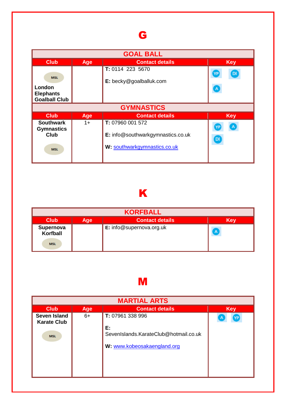# G

| <b>GOAL BALL</b>                                                   |      |                                                                                       |                                      |
|--------------------------------------------------------------------|------|---------------------------------------------------------------------------------------|--------------------------------------|
| <b>Club</b>                                                        | Age  | <b>Contact details</b>                                                                | <b>Key</b>                           |
| <b>MSL</b><br>London<br><b>Elephants</b><br><b>Goalball Club</b>   |      | T: 0114 223 5670<br>E: becky@goalballuk.com                                           | [DI<br>YP<br>$\overline{\mathsf{A}}$ |
|                                                                    |      | <b>GYMNASTICS</b>                                                                     |                                      |
| <b>Club</b>                                                        | Age  | <b>Contact details</b>                                                                | <b>Key</b>                           |
| <b>Southwark</b><br><b>Gymnastics</b><br><b>Club</b><br><b>MSL</b> | $1+$ | T: 07960 001 572<br>E: info@southwarkgymnastics.co.uk<br>W: southwarkgymnastics.co.uk | $\mathsf A$<br>DI                    |

# K

<span id="page-7-0"></span>

| <b>KORFBALL</b>                     |     |                          |              |
|-------------------------------------|-----|--------------------------|--------------|
| <b>Club</b>                         | Age | <b>Contact details</b>   | <b>Key</b>   |
| Supernova<br>Korfball<br><b>MSL</b> |     | E: info@supernova.org.uk | $\mathbf{A}$ |

# M

<span id="page-7-1"></span>

| <b>MARTIAL ARTS</b>                                     |            |                                                                                                |            |  |
|---------------------------------------------------------|------------|------------------------------------------------------------------------------------------------|------------|--|
| <b>Club</b>                                             | <b>Age</b> | <b>Contact details</b>                                                                         | <b>Key</b> |  |
| <b>Seven Island</b><br><b>Karate Club</b><br><b>MSL</b> | $6+$       | T: 07961 338 996<br>E:<br>SevenIslands.KarateClub@hotmail.co.uk<br>W: www.kobeosakaengland.org |            |  |
|                                                         |            |                                                                                                |            |  |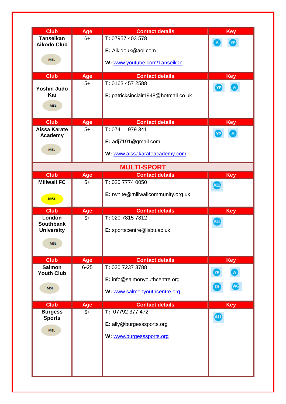| <b>Club</b>                            | Age         | <b>Contact details</b>                     | <b>Key</b> |
|----------------------------------------|-------------|--------------------------------------------|------------|
| <b>Tanseikan</b><br><b>Aikodo Club</b> | $6+$        | T: 07957 403 578                           |            |
|                                        |             | E: Aikidouk@aol.com                        |            |
| <b>MSL</b>                             |             | W: www.youtube.com/Tanseikan               |            |
|                                        |             |                                            |            |
| <b>Club</b>                            | Age<br>$5+$ | <b>Contact details</b><br>T: 0163 457 2588 | <b>Key</b> |
| <b>Yoshin Judo</b>                     |             |                                            | YP         |
| Kai                                    |             | E: patricksinclair1948@hotmail.co.uk       |            |
| <b>MSL</b>                             |             |                                            |            |
| <b>Club</b>                            | Age         | <b>Contact details</b>                     | <b>Key</b> |
| Aissa Karate                           | $5+$        | T: 07411 979 341                           | <b>NP</b>  |
| Academy                                |             | E: adj7191@gmail.com                       |            |
| <b>MSL</b>                             |             | W: www.aissakarateacademy.com              |            |
|                                        |             |                                            |            |
|                                        |             | <b>MULTI-SPORT</b>                         |            |
| <b>Club</b><br><b>Millwall FC</b>      | Age<br>$5+$ | <b>Contact details</b><br>T: 020 7774 0050 | <b>Key</b> |
|                                        |             |                                            |            |
| <b>MSL</b>                             |             | E: rwhite@millwallcommunity.org.uk         |            |
| <b>Club</b>                            | Age         | <b>Contact details</b>                     | <b>Key</b> |
| London<br><b>Southbank</b>             | $5+$        | T: 020 7815 7812                           | ALL        |
| <b>University</b>                      |             | E: sportscentre@Isbu.ac.uk                 |            |
| <b>MSL</b>                             |             |                                            |            |
|                                        |             |                                            |            |
| <b>Club</b>                            |             |                                            |            |
|                                        | Age         | <b>Contact details</b>                     | <b>Key</b> |
| <b>Salmon</b>                          | $6 - 25$    | T: 020 7237 3788                           |            |
| <b>Youth Club</b>                      |             | E: info@salmonyouthcentre.org              |            |
| <b>MSL</b>                             |             | W: www.salmonyouthcentre.org               |            |
|                                        |             |                                            |            |
| <b>Club</b><br><b>Burgess</b>          | Age<br>$5+$ | <b>Contact details</b><br>T: 07792 377 472 | <b>Key</b> |
| <b>Sports</b>                          |             |                                            | <b>ALL</b> |
| <b>MSL</b>                             |             | E: ally@burgesssports.org                  |            |
|                                        |             | W: www.burgesssports.org                   |            |
|                                        |             |                                            |            |
|                                        |             |                                            |            |
|                                        |             |                                            |            |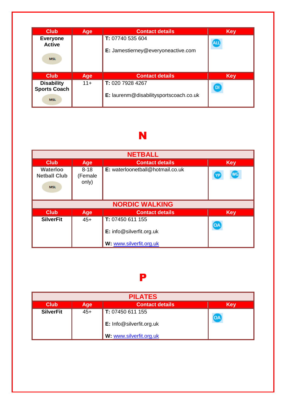| <b>Club</b>                              | <b>Age</b> | <b>Contact details</b>                 | <b>Key</b> |
|------------------------------------------|------------|----------------------------------------|------------|
| <b>Everyone</b><br><b>Active</b>         |            | T: 07740 535 604                       | <b>ALL</b> |
| <b>MSL</b>                               |            | E: Jamestierney@everyoneactive.com     |            |
| Club                                     | Age        | <b>Contact details</b>                 | <b>Key</b> |
| <b>Disability</b><br><b>Sports Coach</b> | $11+$      | T: 020 7928 4267                       | DI)        |
| <b>MSL</b>                               |            | E: laurenm@disabilitysportscoach.co.uk |            |

## N

<span id="page-9-0"></span>

| <b>NETBALL</b>                                       |                              |                                              |                 |  |  |
|------------------------------------------------------|------------------------------|----------------------------------------------|-----------------|--|--|
| <b>Club</b>                                          | Age                          | <b>Contact details</b>                       | <b>Key</b>      |  |  |
| <b>Waterloo</b><br><b>Netball Club</b><br><b>MSL</b> | $8 - 18$<br>(Female<br>only) | E: waterloonetball@hotmail.co.uk             | <b>WG</b><br>YP |  |  |
|                                                      | <b>NORDIC WALKING</b>        |                                              |                 |  |  |
| <b>Club</b>                                          | Age                          | <b>Contact details</b>                       | <b>Key</b>      |  |  |
| <b>SilverFit</b>                                     | $45+$                        | T: 07450 611 155<br>E: info@silverfit.org.uk | OA              |  |  |
|                                                      |                              | W: www.silverfit.org.uk                      |                 |  |  |

### P

<span id="page-9-1"></span>

| <b>PILATES</b>   |            |                                                     |            |  |
|------------------|------------|-----------------------------------------------------|------------|--|
| <b>Club</b>      | <b>Age</b> | <b>Contact details</b>                              | <b>Key</b> |  |
| <b>SilverFit</b> | $45+$      | T: 07450 611 155                                    | OA         |  |
|                  |            | E: Info@silverfit.org.uk<br>W: www.silverfit.org.uk |            |  |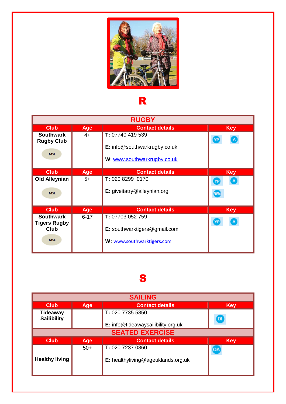

## R

<span id="page-10-0"></span>

|                                                                      | <b>RUGBY</b> |                                                                                        |                         |  |  |
|----------------------------------------------------------------------|--------------|----------------------------------------------------------------------------------------|-------------------------|--|--|
| <b>Club</b>                                                          | <b>Age</b>   | <b>Contact details</b>                                                                 | <b>Key</b>              |  |  |
| <b>Southwark</b><br><b>Rugby Club</b><br><b>MSL</b>                  | $4+$         | T: 07740 419 539<br><b>E:</b> info@southwarkrugby.co.uk<br>W: www.southwarkrugby.co.uk | YP<br>$\mathsf{A}$      |  |  |
| <b>Club</b>                                                          | Age          | <b>Contact details</b>                                                                 | <b>Key</b>              |  |  |
| <b>Old Alleynian</b><br><b>MSL</b>                                   | $5+$         | T: 020 8299 0170<br>E: giveitatry@alleynian.org                                        | $\mathsf A$<br>YP<br>WG |  |  |
| <b>Club</b>                                                          | Age          | <b>Contact details</b>                                                                 | <b>Key</b>              |  |  |
| <b>Southwark</b><br><b>Tigers Rugby</b><br><b>Club</b><br><b>MSL</b> | $6 - 17$     | T: 07703 052 759<br>E: southwarktigers@gmail.com<br>W: www.southwarktigers.com         | A<br>YP                 |  |  |

### S

<span id="page-10-1"></span>

| <b>SAILING</b>                 |                                             |                                    |            |  |  |  |
|--------------------------------|---------------------------------------------|------------------------------------|------------|--|--|--|
| <b>Club</b>                    | <b>Contact details</b><br><b>Key</b><br>Age |                                    |            |  |  |  |
| Tideaway<br><b>Sailibility</b> |                                             | T: 020 7735 5850                   | <b>DI</b>  |  |  |  |
|                                |                                             | E: info@tideawaysailibility.org.uk |            |  |  |  |
|                                |                                             | <b>SEATED EXERCISE</b>             |            |  |  |  |
| <b>Club</b>                    | Age                                         | <b>Contact details</b>             | <b>Key</b> |  |  |  |
|                                | $50+$                                       | T: 020 7237 0860                   | OA         |  |  |  |
| <b>Healthy living</b>          |                                             | E: healthyliving@ageuklands.org.uk |            |  |  |  |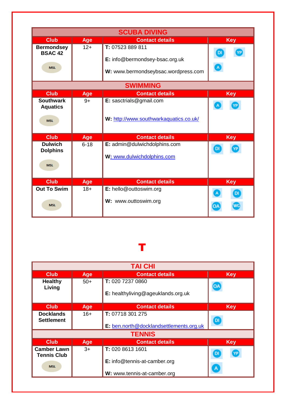|                                                   | <b>SCUBA DIVING</b> |                                                                                           |                 |  |  |
|---------------------------------------------------|---------------------|-------------------------------------------------------------------------------------------|-----------------|--|--|
| <b>Club</b>                                       | Age                 | <b>Contact details</b>                                                                    | <b>Key</b>      |  |  |
| <b>Bermondsey</b><br><b>BSAC 42</b><br><b>MSL</b> | $12+$               | T: 07523 889 811<br>E: info@bermondsey-bsac.org.uk<br>W: www.bermondseybsac.wordpress.com | YP<br><b>DI</b> |  |  |
|                                                   |                     | <b>SWIMMING</b>                                                                           |                 |  |  |
| <b>Club</b>                                       | <b>Age</b>          | <b>Contact details</b>                                                                    | <b>Key</b>      |  |  |
| <b>Southwark</b><br><b>Aquatics</b><br><b>MSL</b> | $9+$                | E: sasctrials@gmail.com<br>W: http://www.southwarkaquatics.co.uk/                         |                 |  |  |
| <b>Club</b>                                       | <b>Age</b>          | <b>Contact details</b>                                                                    | <b>Key</b>      |  |  |
| <b>Dulwich</b><br><b>Dolphins</b><br><b>MSL</b>   | $6 - 18$            | E: admin@dulwichdolphins.com<br>W: www.dulwichdolphins.com                                | D               |  |  |
| <b>Club</b>                                       | Age                 | <b>Contact details</b>                                                                    | <b>Key</b>      |  |  |
| <b>Out To Swim</b><br><b>MSL</b>                  | $18+$               | E: hello@outtoswim.org<br>W: www.outtoswim.org                                            | <b>DI</b><br>OΑ |  |  |

## T

<span id="page-11-0"></span>

| <b>TAI CHI</b>                                         |            |                                                             |                           |  |
|--------------------------------------------------------|------------|-------------------------------------------------------------|---------------------------|--|
| <b>Club</b>                                            | Age        | <b>Contact details</b>                                      | <b>Key</b>                |  |
| <b>Healthy</b><br>Living                               | $50+$      | T: 020 7237 0860<br>E: healthyliving@ageuklands.org.uk      | OA                        |  |
| <b>Club</b>                                            | Age        | <b>Contact details</b>                                      | <b>Key</b>                |  |
| <b>Docklands</b><br><b>Settlement</b>                  | $16+$      | T: 07718 301 275<br>E: ben.north@docklandsettlements.org.uk | DI)                       |  |
|                                                        |            | <b>TENNIS</b>                                               |                           |  |
| <b>Club</b>                                            | <b>Age</b> | <b>Contact details</b>                                      | <b>Key</b>                |  |
| <b>Camber Lawn</b><br><b>Tennis Club</b><br><b>MSL</b> | $3+$       | T: 020 8613 1601<br>E: info@tennis-at-camber.org            | DI<br>YP <sup></sup><br>A |  |
|                                                        |            | W: www.tennis-at-camber.org                                 |                           |  |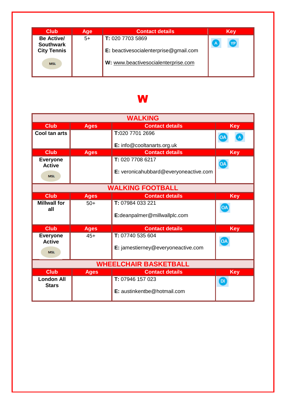| <b>Club</b>                           | <b>Age</b> | <b>Contact details</b>                          | <b>Key</b> |
|---------------------------------------|------------|-------------------------------------------------|------------|
| <b>Be Active/</b><br><b>Southwark</b> | $5+$       | T: 020 7703 5869                                | YP)<br>A   |
| <b>City Tennis</b>                    |            | <b>E:</b> beactives ocial enterprise @gmail.com |            |
| <b>MSL</b>                            |            | W: www.beactivesocialenterprise.com             |            |
|                                       |            |                                                 |            |

### W

<span id="page-12-0"></span>

| <b>WALKING</b>                    |             |                                       |            |  |
|-----------------------------------|-------------|---------------------------------------|------------|--|
| <b>Club</b>                       | <b>Ages</b> | <b>Contact details</b>                | <b>Key</b> |  |
| Cool tan arts                     |             | T:020 7701 2696                       |            |  |
|                                   |             | E: info@cooltanarts.org.uk            |            |  |
| <b>Club</b>                       | <b>Ages</b> | <b>Contact details</b>                | <b>Key</b> |  |
| <b>Everyone</b><br><b>Active</b>  |             | T: 020 7708 6217                      | OA         |  |
| <b>MSL</b>                        |             | E: veronicahubbard@everyoneactive.com |            |  |
|                                   |             | <b>WALKING FOOTBALL</b>               |            |  |
| <b>Club</b>                       | <b>Ages</b> | <b>Contact details</b>                | <b>Key</b> |  |
| <b>Millwall for</b>               | $50+$       | T: 07984 033 221                      | 0A         |  |
| all                               |             | E:deanpalmer@millwallplc.com          |            |  |
|                                   |             |                                       |            |  |
| <b>Club</b>                       | <b>Ages</b> | <b>Contact details</b>                | <b>Key</b> |  |
| <b>Everyone</b>                   | $45+$       | T: 07740 535 604                      |            |  |
| <b>Active</b>                     |             | E: jamestierney@everyoneactive.com    | OA)        |  |
| <b>MSL</b>                        |             |                                       |            |  |
|                                   |             | <b>WHEELCHAIR BASKETBALL</b>          |            |  |
| <b>Club</b>                       | <b>Ages</b> | <b>Contact details</b>                | <b>Key</b> |  |
| <b>London All</b><br><b>Stars</b> |             | T: 07946 157 023                      | DI.        |  |
|                                   |             | E: austinkentbe@hotmail.com           |            |  |